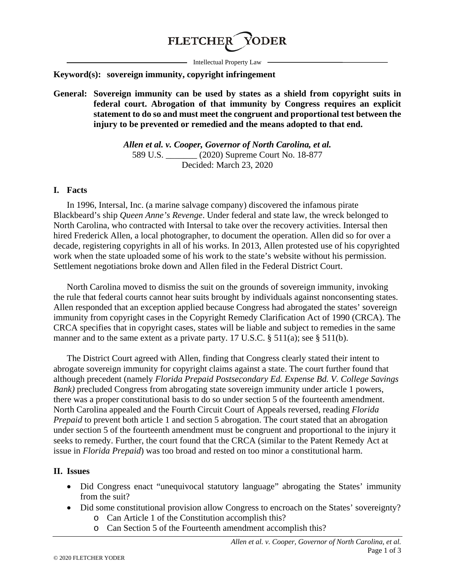

- Intellectual Property Law -

### **Keyword(s): sovereign immunity, copyright infringement**

**General: Sovereign immunity can be used by states as a shield from copyright suits in federal court. Abrogation of that immunity by Congress requires an explicit statement to do so and must meet the congruent and proportional test between the injury to be prevented or remedied and the means adopted to that end.**

> *Allen et al. v. Cooper, Governor of North Carolina, et al.* 589 U.S. \_\_\_\_\_\_\_ (2020) Supreme Court No. 18-877 Decided: March 23, 2020

#### **I. Facts**

In 1996, Intersal, Inc. (a marine salvage company) discovered the infamous pirate Blackbeard's ship *Queen Anne's Revenge*. Under federal and state law, the wreck belonged to North Carolina, who contracted with Intersal to take over the recovery activities. Intersal then hired Frederick Allen, a local photographer, to document the operation. Allen did so for over a decade, registering copyrights in all of his works. In 2013, Allen protested use of his copyrighted work when the state uploaded some of his work to the state's website without his permission. Settlement negotiations broke down and Allen filed in the Federal District Court.

North Carolina moved to dismiss the suit on the grounds of sovereign immunity, invoking the rule that federal courts cannot hear suits brought by individuals against nonconsenting states. Allen responded that an exception applied because Congress had abrogated the states' sovereign immunity from copyright cases in the Copyright Remedy Clarification Act of 1990 (CRCA). The CRCA specifies that in copyright cases, states will be liable and subject to remedies in the same manner and to the same extent as a private party. 17 U.S.C. § 511(a); see § 511(b).

The District Court agreed with Allen, finding that Congress clearly stated their intent to abrogate sovereign immunity for copyright claims against a state. The court further found that although precedent (namely *Florida Prepaid Postsecondary Ed. Expense Bd. V. College Savings Bank*) precluded Congress from abrogating state sovereign immunity under article 1 powers, there was a proper constitutional basis to do so under section 5 of the fourteenth amendment. North Carolina appealed and the Fourth Circuit Court of Appeals reversed, reading *Florida Prepaid* to prevent both article 1 and section 5 abrogation. The court stated that an abrogation under section 5 of the fourteenth amendment must be congruent and proportional to the injury it seeks to remedy. Further, the court found that the CRCA (similar to the Patent Remedy Act at issue in *Florida Prepaid*) was too broad and rested on too minor a constitutional harm.

### **II. Issues**

- Did Congress enact "unequivocal statutory language" abrogating the States' immunity from the suit?
- Did some constitutional provision allow Congress to encroach on the States' sovereignty?
	- o Can Article 1 of the Constitution accomplish this?
	- o Can Section 5 of the Fourteenth amendment accomplish this?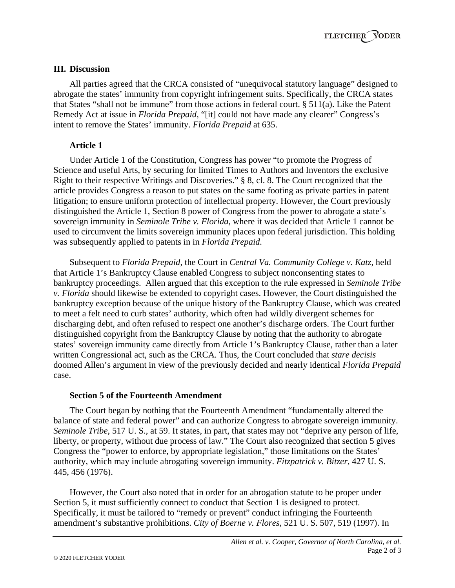## **III. Discussion**

All parties agreed that the CRCA consisted of "unequivocal statutory language" designed to abrogate the states' immunity from copyright infringement suits. Specifically, the CRCA states that States "shall not be immune" from those actions in federal court. § 511(a). Like the Patent Remedy Act at issue in *Florida Prepaid*, "[it] could not have made any clearer" Congress's intent to remove the States' immunity. *Florida Prepaid* at 635.

# **Article 1**

Under Article 1 of the Constitution, Congress has power "to promote the Progress of Science and useful Arts, by securing for limited Times to Authors and Inventors the exclusive Right to their respective Writings and Discoveries." § 8, cl. 8. The Court recognized that the article provides Congress a reason to put states on the same footing as private parties in patent litigation; to ensure uniform protection of intellectual property. However, the Court previously distinguished the Article 1, Section 8 power of Congress from the power to abrogate a state's sovereign immunity in *Seminole Tribe v. Florida*, where it was decided that Article 1 cannot be used to circumvent the limits sovereign immunity places upon federal jurisdiction. This holding was subsequently applied to patents in in *Florida Prepaid.* 

Subsequent to *Florida Prepaid*, the Court in *Central Va. Community College v. Katz*, held that Article 1's Bankruptcy Clause enabled Congress to subject nonconsenting states to bankruptcy proceedings. Allen argued that this exception to the rule expressed in *Seminole Tribe v. Florida* should likewise be extended to copyright cases. However, the Court distinguished the bankruptcy exception because of the unique history of the Bankruptcy Clause, which was created to meet a felt need to curb states' authority, which often had wildly divergent schemes for discharging debt, and often refused to respect one another's discharge orders. The Court further distinguished copyright from the Bankruptcy Clause by noting that the authority to abrogate states' sovereign immunity came directly from Article 1's Bankruptcy Clause, rather than a later written Congressional act, such as the CRCA. Thus, the Court concluded that *stare decisis* doomed Allen's argument in view of the previously decided and nearly identical *Florida Prepaid* case.

## **Section 5 of the Fourteenth Amendment**

The Court began by nothing that the Fourteenth Amendment "fundamentally altered the balance of state and federal power" and can authorize Congress to abrogate sovereign immunity. *Seminole Tribe*, 517 U. S., at 59. It states, in part, that states may not "deprive any person of life, liberty, or property, without due process of law." The Court also recognized that section 5 gives Congress the "power to enforce, by appropriate legislation," those limitations on the States' authority, which may include abrogating sovereign immunity. *Fitzpatrick v. Bitzer*, 427 U. S. 445, 456 (1976).

However, the Court also noted that in order for an abrogation statute to be proper under Section 5, it must sufficiently connect to conduct that Section 1 is designed to protect. Specifically, it must be tailored to "remedy or prevent" conduct infringing the Fourteenth amendment's substantive prohibitions. *City of Boerne v. Flores*, 521 U. S. 507, 519 (1997). In